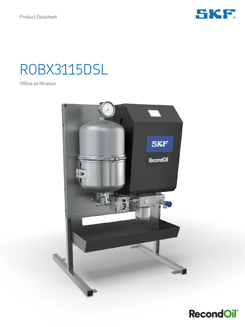

# ROBX3115DSL

Offline oil filtration



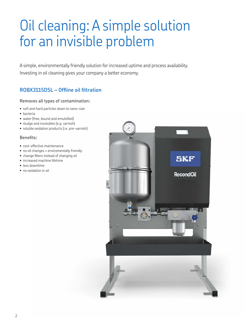# Oil cleaning: A simple solution for an invisible problem

A simple, environmentally friendly solution for increased uptime and process availability. Investing in oil cleaning gives your company a better economy.

### **ROBX3115DSL – Offline oil filtration**

### **Removes all types of contamination:**

- soft and hard particles down to nano-size
- bacteria
- water (free, bound and emulsified)
- sludge and insolubles (e.g. varnish)
- soluble oxidation products (i.e. pre-varnish)

#### **Benefits:**

- cost-effective maintenance
- no oil changes = enviromentally friendly
- change filters instead of changing oil
- increased machine lifetime
- less downtime
- no oxidation in oil

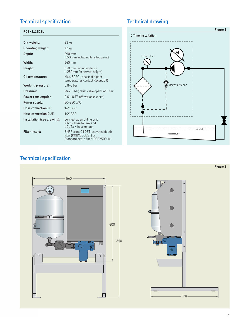## **Technical specification Technical drawing**

#### **ROBX3115DSL**

| Dry weight:                 | 33 kg                                                                                                   |
|-----------------------------|---------------------------------------------------------------------------------------------------------|
| Operating weight:           | 42 kg                                                                                                   |
| Depth:                      | 290 mm<br>(550 mm including legs footprint)                                                             |
| Width:                      | 560 mm                                                                                                  |
| Height:                     | 850 mm (including legs)<br>(+250mm for service height)                                                  |
| Oil temperature:            | Max. 80 °C (In case of higher<br>temperatures contact RecondOil)                                        |
| <b>Working pressure:</b>    | $0.8 - 5$ bar                                                                                           |
| Pressure:                   | Max. 5 bar, relief valve opens at 5 bar                                                                 |
| Power consumption:          | 0.01-0.17 kW (variable speed)                                                                           |
| Power supply:               | 80-230 VAC                                                                                              |
| Hose connection IN:         | $1/2$ " BSP                                                                                             |
| Hose connection OUT:        | $1/2$ " BSP                                                                                             |
| Installation (see drawing): | Connect as an offline unit.<br>$\langle$ N $\rangle$ = hose to tank and<br>$\kappa$ OUT» = hose to tank |
| <b>Filter insert:</b>       | SKF RecondOil DST-activated depth<br>filter (ROBX500DST) or<br>Standard depth filter (ROBX500HY)        |



# **Technical specification**